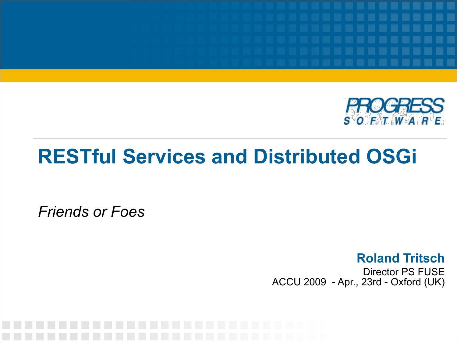

#### **RESTful Services and Distributed OSGi**

*Friends or Foes*

**Roland Tritsch** Director PS FUSE ACCU 2009 - Apr., 23rd - Oxford (UK)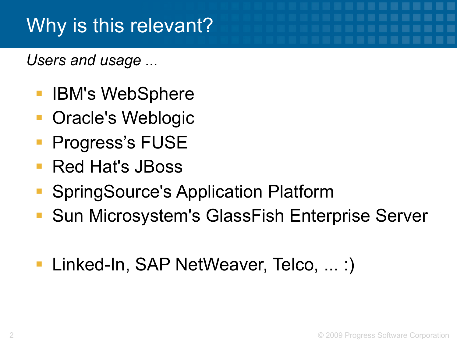#### Why is this relevant?

*Users and usage ...*

- [IBM](http://www.ibm.com/)'s [WebSphere](http://www.ibm.com/websphere/)
- [Oracle](http://www.oracle.com/)'s [Weblogic](http://www.oracle.com/appserver/weblogic/)
- Progress's FUSE
- [Red Hat](http://www.redhat.com/)'s [JBoss](http://www.jboss.org/)
- [SpringSource](http://www.springsource.com/)'[s Application Platform](http://www.springsource.com/products/suite/applicationplatform)
- [Sun Microsystem](http://www.sun.com/)'s [GlassFish Enterprise Server](https://glassfish.dev.java.net/)
- Linked-In, SAP NetWeaver, Telco, ... :)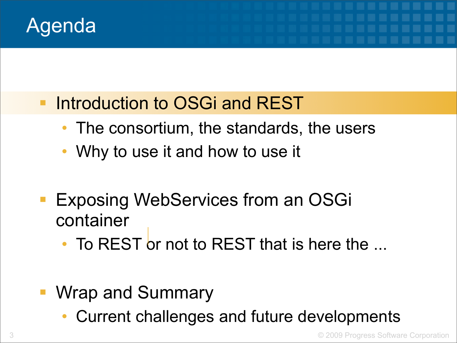

- **Introduction to OSGi and REST** 
	- The consortium, the standards, the users
	- Why to use it and how to use it
- Exposing WebServices from an OSGi container
	- To REST or not to REST that is here the ...
- Wrap and Summary
	- Current challenges and future developments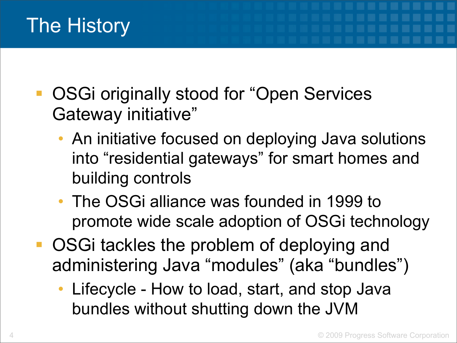#### The History

- OSGi originally stood for "Open Services Gateway initiative"
	- An initiative focused on deploying Java solutions into "residential gateways" for smart homes and building controls
	- The OSGi alliance was founded in 1999 to promote wide scale adoption of OSGi technology
- OSGi tackles the problem of deploying and administering Java "modules" (aka "bundles")
	- Lifecycle How to load, start, and stop Java bundles without shutting down the JVM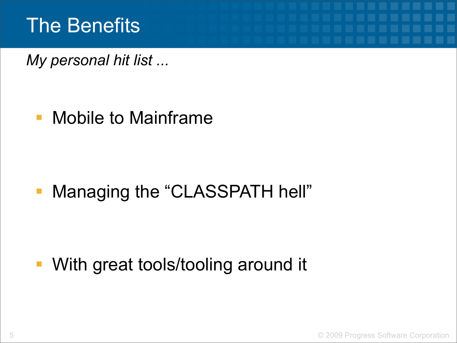#### The Benefits

*My personal hit list ...*

**• Mobile to Mainframe** 

**• Managing the "CLASSPATH hell"** 

**• With great tools/tooling around it**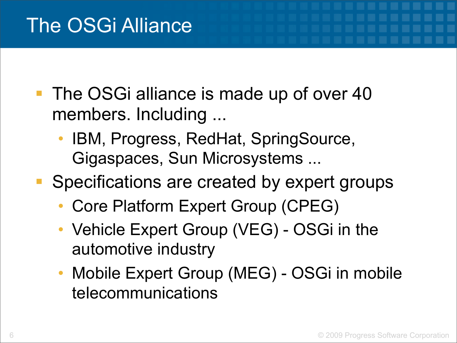- The OSGi alliance is made up of over 40 members. Including ...
	- IBM, Progress, RedHat, SpringSource, Gigaspaces, Sun Microsystems ...
- Specifications are created by expert groups
	- Core Platform Expert Group (CPEG)
	- Vehicle Expert Group (VEG) OSGi in the automotive industry
	- Mobile Expert Group (MEG) OSGi in mobile telecommunications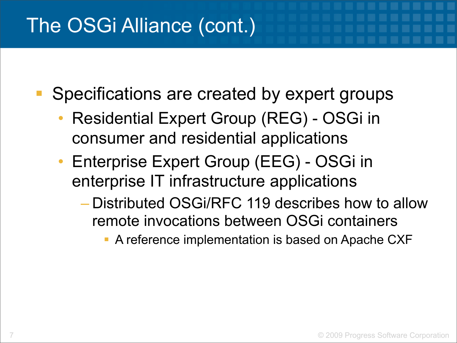#### The OSGi Alliance (cont.)

Specifications are created by expert groups

- Residential Expert Group (REG) OSGi in consumer and residential applications
- Enterprise Expert Group (EEG) OSGi in enterprise IT infrastructure applications
	- Distributed OSGi/RFC 119 describes how to allow remote invocations between OSGi containers
		- **A reference implementation is based on Apache CXF**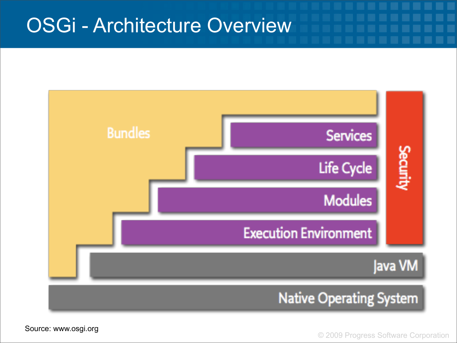#### OSGi - Architecture Overview



© 2009 Progress Software Corporation

Source: www.osgi.org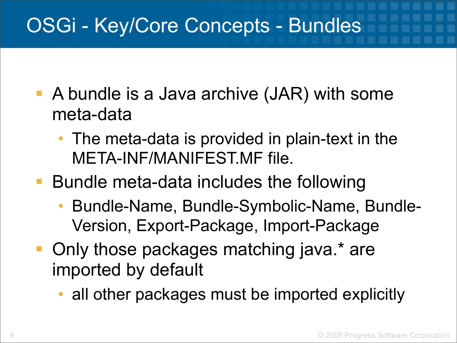#### OSGi - Key/Core Concepts - Bundles

- A bundle is a Java archive (JAR) with some meta-data
	- The meta-data is provided in plain-text in the META-INF/MANIFEST.MF file.
- Bundle meta-data includes the following
	- Bundle-Name, Bundle-Symbolic-Name, Bundle-Version, Export-Package, Import-Package
- Only those packages matching java.\* are imported by default
	- all other packages must be imported explicitly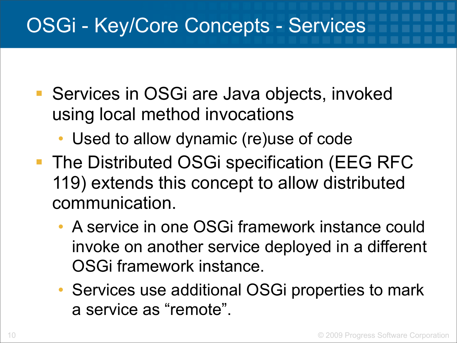#### OSGi - Key/Core Concepts - Services

- Services in OSGi are Java objects, invoked using local method invocations
	- Used to allow dynamic (re)use of code
- **The Distributed OSGi specification (EEG RFC** 119) extends this concept to allow distributed communication.
	- A service in one OSGi framework instance could invoke on another service deployed in a different OSGi framework instance.
	- Services use additional OSGi properties to mark a service as "remote".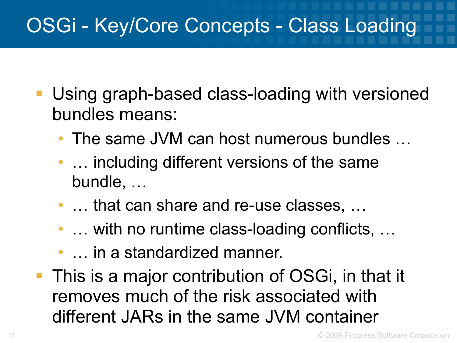### OSGi - Key/Core Concepts - Class Loading

- Using graph-based class-loading with versioned bundles means:
	- The same JVM can host numerous bundles …
	- ... including different versions of the same bundle, …
	- ... that can share and re-use classes, ...
	- ... with no runtime class-loading conflicts, ...
	- … in a standardized manner.
- This is a major contribution of OSGi, in that it removes much of the risk associated with different JARs in the same JVM container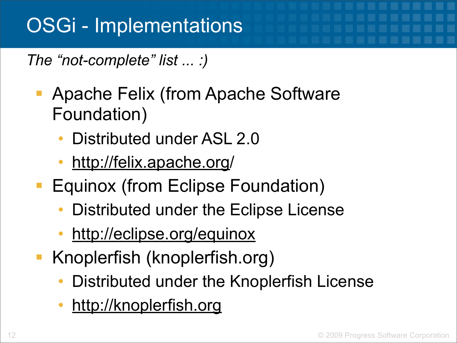#### OSGi - Implementations

*The "not-complete" list ... :)*

- Apache Felix (from Apache Software Foundation)
	- Distributed under ASL 2.[0](http://felix.apache.org)
	- [http://felix.apache.org/](http://felix.apache.org)
- **Equinox (from Eclipse Foundation)** 
	- Distributed under the Eclipse License
	- <http://eclipse.org/equinox>
- Knoplerfish (knoplerfish.org)
	- Distributed under the Knoplerfish License
	- <http://knoplerfish.org>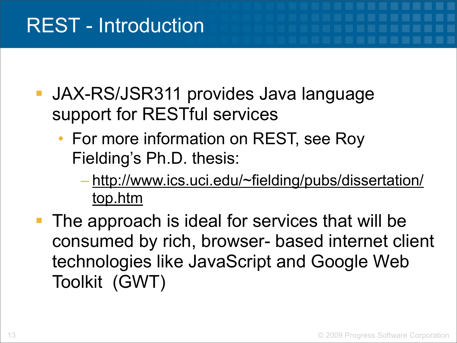- JAX-RS/JSR311 provides Java language support for RESTful services
	- For more information on REST, see Roy Fielding's Ph.D. thesis:
		- [http://www.ics.uci.edu/~fielding/pubs/dissertation/](http://www.ics.uci.edu/~fielding/pubs/dissertation/top.htm) [top.htm](http://www.ics.uci.edu/~fielding/pubs/dissertation/top.htm)
- The approach is ideal for services that will be consumed by rich, browser- based internet client technologies like JavaScript and Google Web Toolkit (GWT)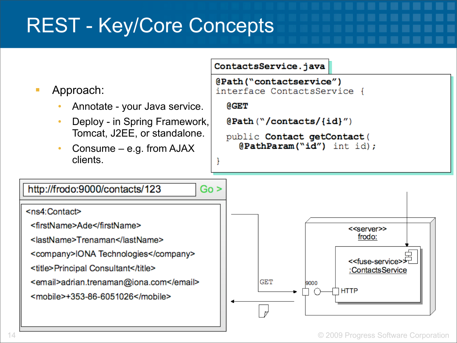#### REST - Key/Core Concepts

#### ContactsService.java

Approach:

- Annotate your Java service.
- Deploy in Spring Framework, Tomcat, J2EE, or standalone.
- Consume e.g. from  $AJAX$ clients.



**@GET** 

 $QPath("/contents/ \{id\}'')$ 

public Contact getContact ( @PathParam("id") int id);

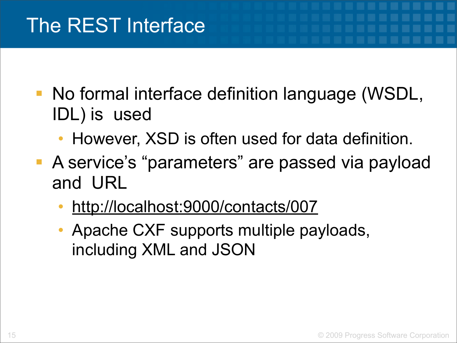### The REST Interface

- No formal interface definition language (WSDL, IDL) is used
	- However, XSD is often used for data definition.
- A service's "parameters" are passed via payload and URL
	- <http://localhost:9000/contacts/007>
	- Apache CXF supports multiple payloads, including XML and JSON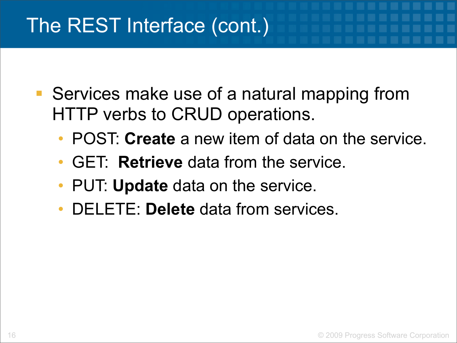#### The REST Interface (cont.)

- Services make use of a natural mapping from HTTP verbs to CRUD operations.
	- POST: **Create** a new item of data on the service.
	- GET: **Retrieve** data from the service.
	- PUT: **Update** data on the service.
	- DELETE: **Delete** data from services.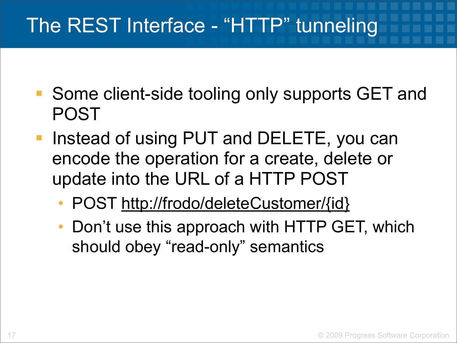### The REST Interface - "HTTP" tunneling

- Some client-side tooling only supports GET and POST
- Instead of using PUT and DELETE, you can encode the operation for a create, delete or update into the URL of a HTTP POST
	- POST [http://frodo/deleteCustomer/{id}](http://livepage.apple.com/)
	- Don't use this approach with HTTP GET, which should obey "read-only" semantics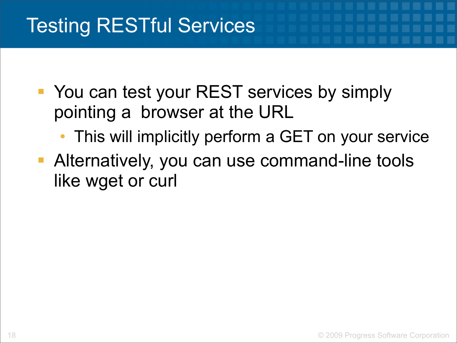### Testing RESTful Services

- You can test your REST services by simply pointing a browser at the URL
	- This will implicitly perform a GET on your service
- **Alternatively, you can use command-line tools** like wget or curl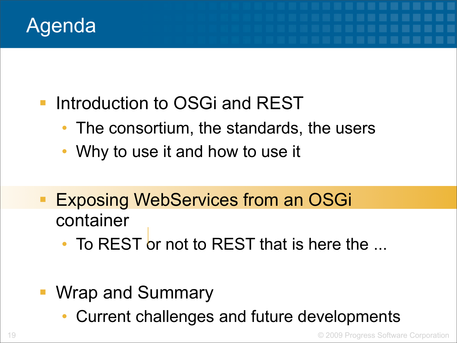

- **Introduction to OSGi and REST** 
	- The consortium, the standards, the users
	- Why to use it and how to use it
- **Exposing WebServices from an OSGi** container
	- To REST or not to REST that is here the ...
- Wrap and Summary
	- Current challenges and future developments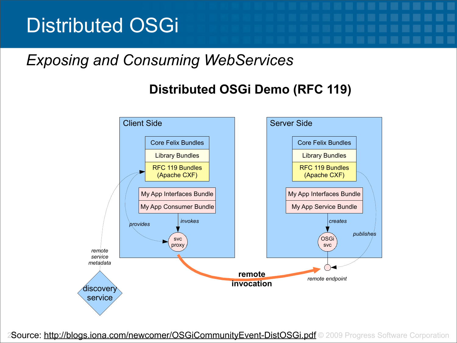#### Distributed OSGi

#### *Exposing and Consuming WebServices*

#### **Distributed OSGi Demo (RFC 119)**



2Source:<http://blogs.iona.com/newcomer/OSGiCommunityEvent-DistOSGi.pdf> © 2009 Progress Software Corporation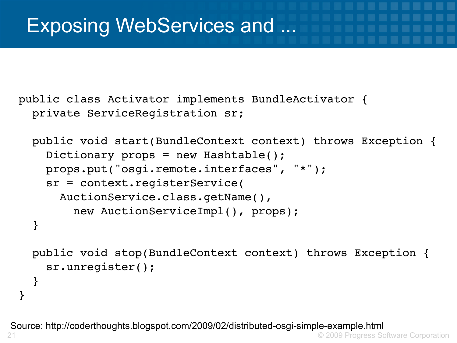}

}

public class Activator implements BundleActivator { private ServiceRegistration sr;

```
  public void start(BundleContext context) throws Exception { 
    Dictionary props = new Hashtable();
    props.put("osgi.remote.interfaces", "*");
    sr = context.registerService(
   AuctionService.class.getName(), 
            new AuctionServiceImpl(), props);
}
public void stop(BundleContext context) throws Exception {
    sr.unregister();
```
21 © 2009 Progress Software Corporation Source: http://coderthoughts.blogspot.com/2009/02/distributed-osgi-simple-example.html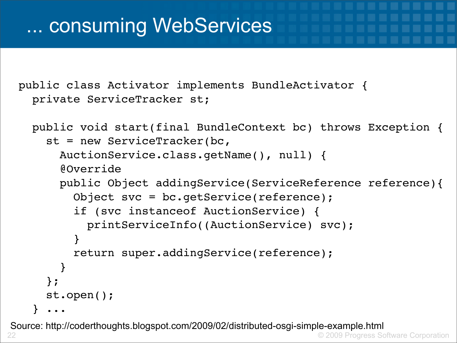#### ... consuming WebServices

public class Activator implements BundleActivator { private ServiceTracker st;

```
  public void start(final BundleContext bc) throws Exception {
      st = new ServiceTracker(bc,
     AuctionService.class.getName(), null) {
           @Override
           public Object addingService(ServiceReference reference){
               Object svc = bc.getService(reference);
               if (svc instanceof AuctionService) {
                   printServiceInfo((AuctionService) svc);
      }
               return super.addingService(reference);
    } 
      };
      st.open();
     } ...
```
22 © 2009 Progress Software Corporation Source: http://coderthoughts.blogspot.com/2009/02/distributed-osgi-simple-example.html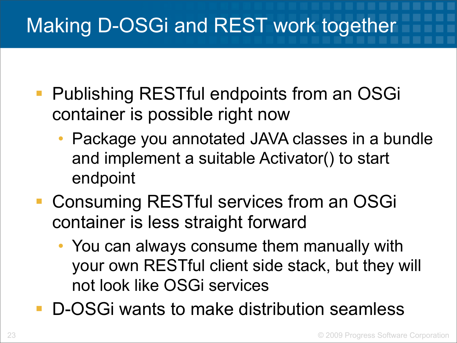### Making D-OSGi and REST work together

- Publishing RESTful endpoints from an OSGi container is possible right now
	- Package you annotated JAVA classes in a bundle and implement a suitable Activator() to start endpoint
- Consuming RESTful services from an OSGi container is less straight forward
	- You can always consume them manually with your own RESTful client side stack, but they will not look like OSGi services
- D-OSGi wants to make distribution seamless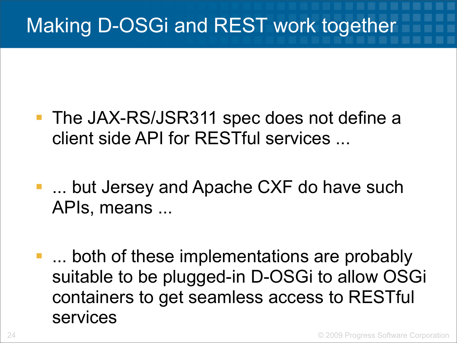### Making D-OSGi and REST work together

- **The JAX-RS/JSR311 spec does not define a** client side API for RESTful services ...
- **.... but Jersey and Apache CXF do have such** APIs, means ...
- **...** both of these implementations are probably suitable to be plugged-in D-OSGi to allow OSGi containers to get seamless access to RESTful services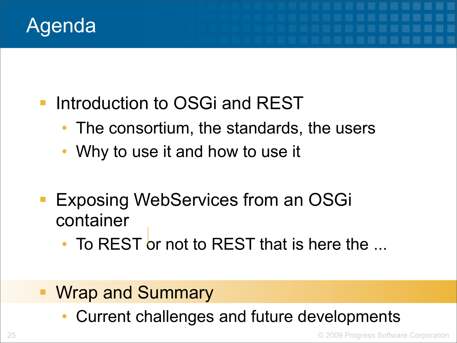

- **Introduction to OSGi and REST** 
	- The consortium, the standards, the users
	- Why to use it and how to use it
- Exposing WebServices from an OSGi container
	- To REST or not to REST that is here the ...
- Wrap and Summary
	- Current challenges and future developments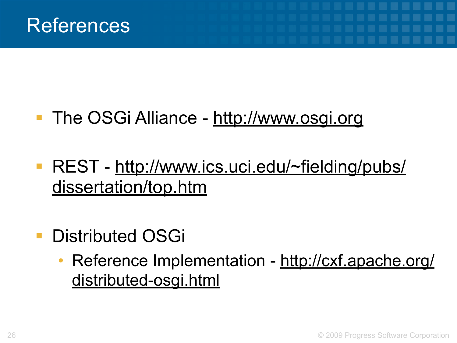#### The OSGi Alliance -<http://www.osgi.org>

- REST - [http://www.ics.uci.edu/~fielding/pubs/](http://www.ics.uci.edu/~fielding/pubs/dissertation/top.htm) [dissertation/top.htm](http://www.ics.uci.edu/~fielding/pubs/dissertation/top.htm)
- Distributed OSGi
	- Reference Implementation - [http://cxf.apache.org/](http://cxf.apache.org/distributed-osgi.html) [distributed-osgi.html](http://cxf.apache.org/distributed-osgi.html)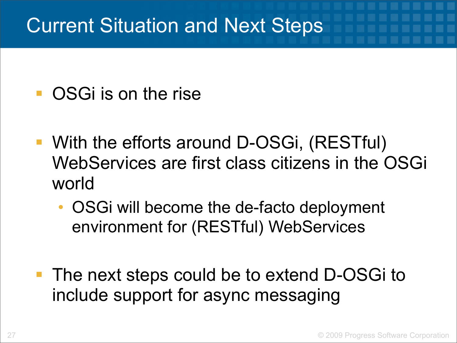#### Current Situation and Next Steps

- OSGi is on the rise
- With the efforts around D-OSGi, (RESTful) WebServices are first class citizens in the OSGi world
	- OSGi will become the de-facto deployment environment for (RESTful) WebServices
- The next steps could be to extend D-OSGi to include support for async messaging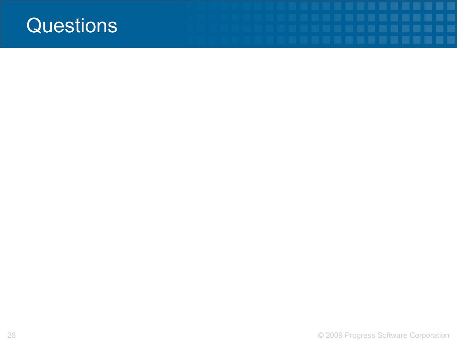#### **Questions**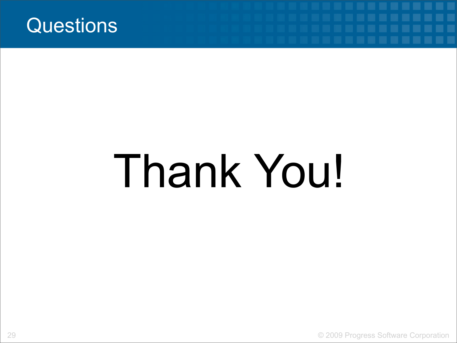

# Thank You!